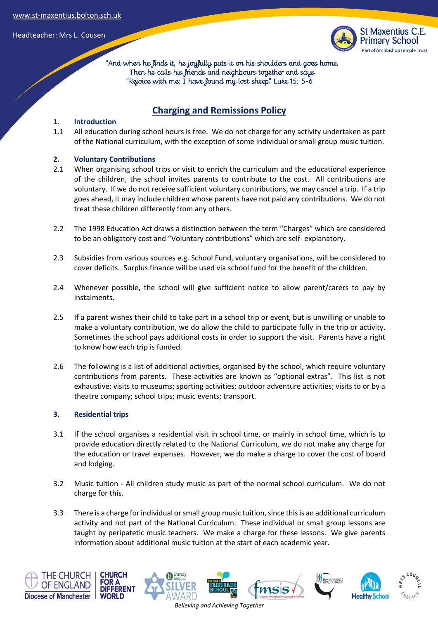Headteacher: Mrs L. Cousen



 "And when he finds it, he joyfully puts it on his shoulders and goes home. Then he calls his friends and neighbours together and says "Rejoice with me; I have found my lost sheep" Luke 15: 5-6

# **Charging and Remissions Policy**

### **1. Introduction**

1.1 All education during school hours is free. We do not charge for any activity undertaken as part of the National curriculum, with the exception of some individual or small group music tuition.

### **2. Voluntary Contributions**

- 2.1 When organising school trips or visit to enrich the curriculum and the educational experience of the children, the school invites parents to contribute to the cost. All contributions are voluntary. If we do not receive sufficient voluntary contributions, we may cancel a trip. If a trip goes ahead, it may include children whose parents have not paid any contributions. We do not treat these children differently from any others.
- 2.2 The 1998 Education Act draws a distinction between the term "Charges" which are considered to be an obligatory cost and "Voluntary contributions" which are self- explanatory.
- 2.3 Subsidies from various sources e.g. School Fund, voluntary organisations, will be considered to cover deficits. Surplus finance will be used via school fund for the benefit of the children.
- 2.4 Whenever possible, the school will give sufficient notice to allow parent/carers to pay by instalments.
- 2.5 If a parent wishes their child to take part in a school trip or event, but is unwilling or unable to make a voluntary contribution, we do allow the child to participate fully in the trip or activity. Sometimes the school pays additional costs in order to support the visit. Parents have a right to know how each trip is funded.
- 2.6 The following is a list of additional activities, organised by the school, which require voluntary contributions from parents. These activities are known as "optional extras". This list is not exhaustive: visits to museums; sporting activities; outdoor adventure activities; visits to or by a theatre company; school trips; music events; transport.

#### **3. Residential trips**

- 3.1 If the school organises a residential visit in school time, or mainly in school time, which is to provide education directly related to the National Curriculum, we do not make any charge for the education or travel expenses. However, we do make a charge to cover the cost of board and lodging.
- 3.2 Music tuition All children study music as part of the normal school curriculum. We do not charge for this.
- 3.3 There is a charge for individual or small group music tuition, since this is an additional curriculum activity and not part of the National Curriculum. These individual or small group lessons are taught by peripatetic music teachers. We make a charge for these lessons. We give parents information about additional music tuition at the start of each academic year.

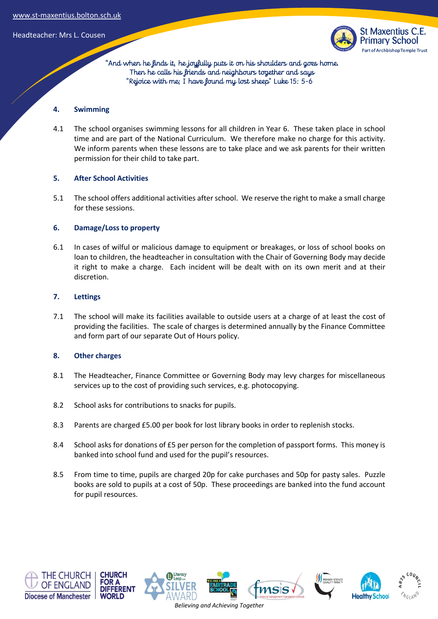Headteacher: Mrs L. Cousen



 "And when he finds it, he joyfully puts it on his shoulders and goes home. Then he calls his friends and neighbours together and says "Rejoice with me; I have found my lost sheep" Luke 15: 5-6

#### **4. Swimming**

4.1 The school organises swimming lessons for all children in Year 6. These taken place in school time and are part of the National Curriculum. We therefore make no charge for this activity. We inform parents when these lessons are to take place and we ask parents for their written permission for their child to take part.

### **5. After School Activities**

5.1 The school offers additional activities after school. We reserve the right to make a small charge for these sessions.

### **6. Damage/Loss to property**

6.1 In cases of wilful or malicious damage to equipment or breakages, or loss of school books on loan to children, the headteacher in consultation with the Chair of Governing Body may decide it right to make a charge. Each incident will be dealt with on its own merit and at their discretion.

### **7. Lettings**

7.1 The school will make its facilities available to outside users at a charge of at least the cost of providing the facilities. The scale of charges is determined annually by the Finance Committee and form part of our separate Out of Hours policy.

## **8. Other charges**

- 8.1 The Headteacher, Finance Committee or Governing Body may levy charges for miscellaneous services up to the cost of providing such services, e.g. photocopying.
- 8.2 School asks for contributions to snacks for pupils.
- 8.3 Parents are charged £5.00 per book for lost library books in order to replenish stocks.
- 8.4 School asks for donations of £5 per person for the completion of passport forms. This money is banked into school fund and used for the pupil's resources.
- 8.5 From time to time, pupils are charged 20p for cake purchases and 50p for pasty sales. Puzzle books are sold to pupils at a cost of 50p. These proceedings are banked into the fund account for pupil resources.





*Believing and Achieving Together*